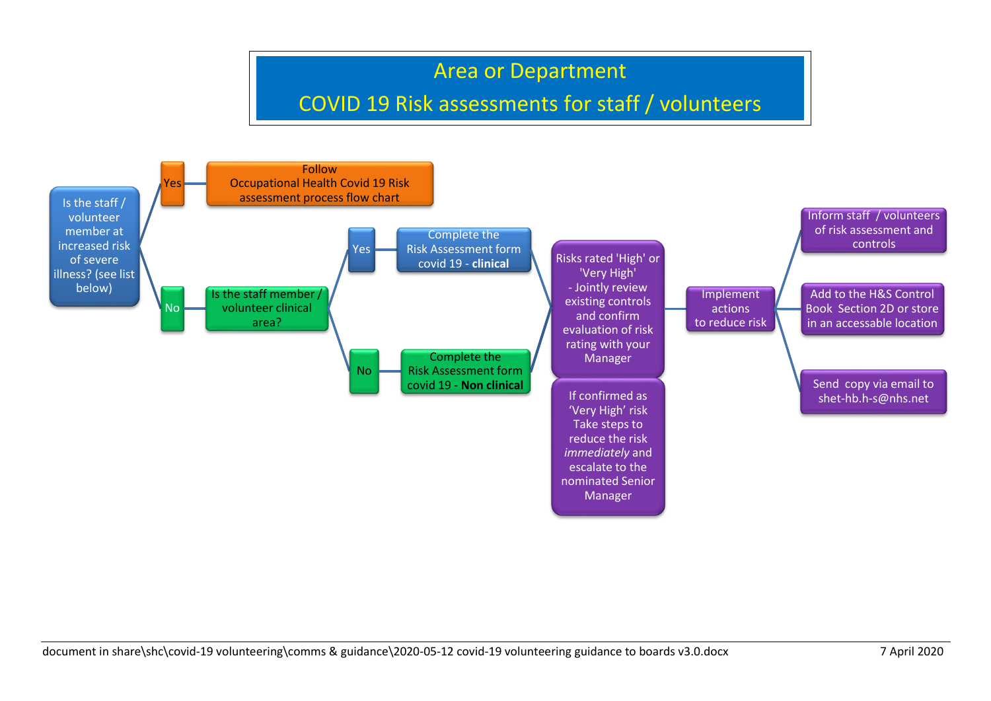## Area or Department

## COVID 19 Risk assessments for staff / volunteers